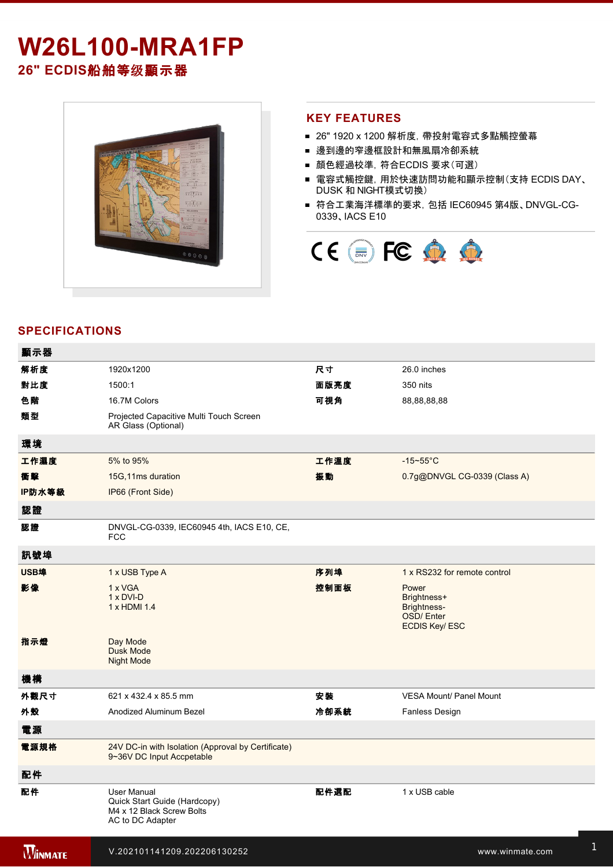# **W26L100-MRA1FP 26" ECDIS**船舶等级顯示器

1 x HDMI cable to the control of the control of the control of the control of the control of

#### **KEY FEATURES**

- 26" 1920 x 1200 解析度, 帶投射電容式多點觸控螢幕
- 邊到邊的窄邊框設計和無風扇冷卻系統
- 顏色經過校準,符合ECDIS 要求(可選)
- 電容式觸控鍵, 用於快速訪問功能和顯示控制(支持 ECDIS DAY、 DUSK 和 NIGHT模式切換)
- 符合工業海洋標準的要求, 包括 IEC60945 第4版、DNVGL-CG-0339、IACS E10



## **SPECIFICATIONS**

| 顯示器            |                                                                                                     |      |                                                                          |
|----------------|-----------------------------------------------------------------------------------------------------|------|--------------------------------------------------------------------------|
| 解析度            | 1920x1200                                                                                           | 尺寸   | 26.0 inches                                                              |
| 對比度            | 1500:1                                                                                              | 面版亮度 | 350 nits                                                                 |
| 色階             | 16.7M Colors                                                                                        | 可視角  | 88,88,88,88                                                              |
| 類型             | Projected Capacitive Multi Touch Screen<br>AR Glass (Optional)                                      |      |                                                                          |
| 環境             |                                                                                                     |      |                                                                          |
| 工作濕度           | 5% to 95%                                                                                           | 工作溫度 | $-15 - 55$ °C                                                            |
| 衝擊             | 15G, 11ms duration                                                                                  | 振動   | 0.7g@DNVGL CG-0339 (Class A)                                             |
| IP防水等級         | IP66 (Front Side)                                                                                   |      |                                                                          |
| 認證             |                                                                                                     |      |                                                                          |
| 認證             | DNVGL-CG-0339, IEC60945 4th, IACS E10, CE,<br><b>FCC</b>                                            |      |                                                                          |
| 訊號埠            |                                                                                                     |      |                                                                          |
| USB埠           | 1 x USB Type A                                                                                      | 序列埠  | 1 x RS232 for remote control                                             |
| 影像             | 1 x VGA<br>$1 \times DVI-D$<br>1 x HDMI 1.4                                                         | 控制面板 | Power<br>Brightness+<br>Brightness-<br>OSD/Enter<br><b>ECDIS Key/ESC</b> |
| 指示燈            | Day Mode<br><b>Dusk Mode</b><br><b>Night Mode</b>                                                   |      |                                                                          |
| 機構             |                                                                                                     |      |                                                                          |
| 外觀尺寸           | 621 x 432.4 x 85.5 mm                                                                               | 安装   | <b>VESA Mount/ Panel Mount</b>                                           |
| 外殼             | Anodized Aluminum Bezel                                                                             | 冷卻系統 | <b>Fanless Design</b>                                                    |
| 電源             |                                                                                                     |      |                                                                          |
| 電源規格           | 24V DC-in with Isolation (Approval by Certificate)<br>9~36V DC Input Accpetable                     |      |                                                                          |
| 配件             |                                                                                                     |      |                                                                          |
| 配件             | <b>User Manual</b><br>Quick Start Guide (Hardcopy)<br>M4 x 12 Black Screw Bolts<br>AC to DC Adapter | 配件選配 | 1 x USB cable                                                            |
| <b>WINMATE</b> | V.202101141209.202206130252                                                                         |      | www.winmate.com                                                          |